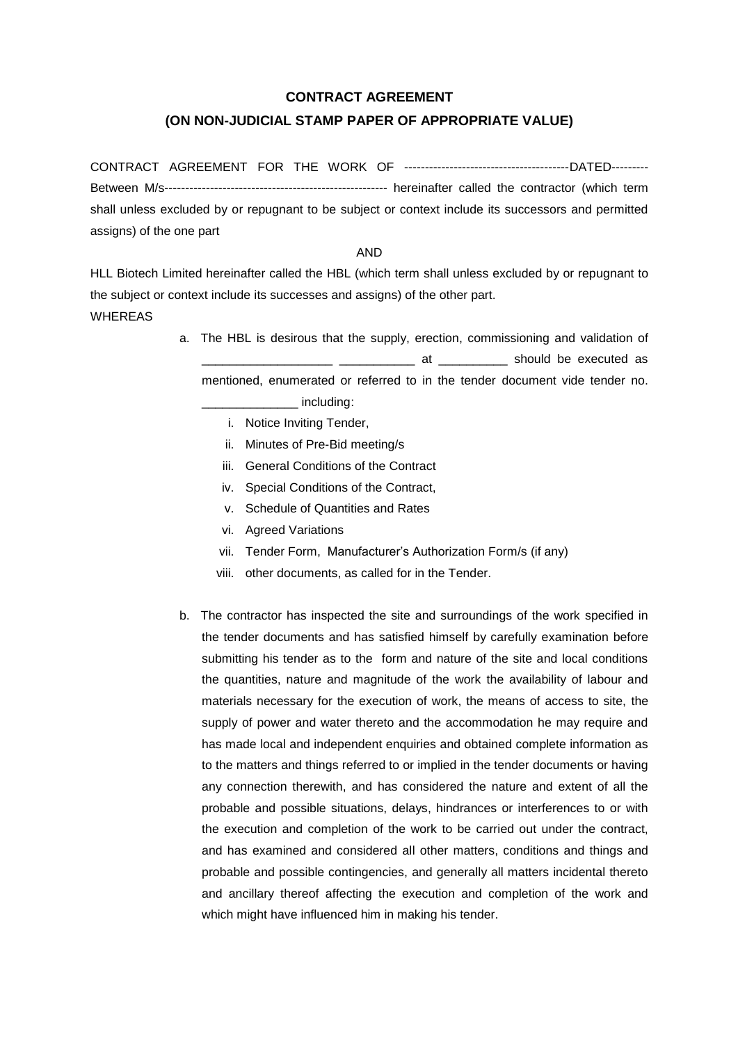## **CONTRACT AGREEMENT**

## **(ON NON-JUDICIAL STAMP PAPER OF APPROPRIATE VALUE)**

CONTRACT AGREEMENT FOR THE WORK OF ----------------------------------------DATED--------- Between M/s------------------------------------------------------ hereinafter called the contractor (which term shall unless excluded by or repugnant to be subject or context include its successors and permitted assigns) of the one part

## AND

HLL Biotech Limited hereinafter called the HBL (which term shall unless excluded by or repugnant to the subject or context include its successes and assigns) of the other part. WHEREAS

- a. The HBL is desirous that the supply, erection, commissioning and validation of at and all the executed as a should be executed as mentioned, enumerated or referred to in the tender document vide tender no. \_\_\_\_\_\_\_\_\_\_\_\_\_\_ including:
	- i. Notice Inviting Tender,
	- ii. Minutes of Pre-Bid meeting/s
	- iii. General Conditions of the Contract
	- iv. Special Conditions of the Contract,
	- v. Schedule of Quantities and Rates
	- vi. Agreed Variations
	- vii. Tender Form, Manufacturer's Authorization Form/s (if any)
	- viii. other documents, as called for in the Tender.
- b. The contractor has inspected the site and surroundings of the work specified in the tender documents and has satisfied himself by carefully examination before submitting his tender as to the form and nature of the site and local conditions the quantities, nature and magnitude of the work the availability of labour and materials necessary for the execution of work, the means of access to site, the supply of power and water thereto and the accommodation he may require and has made local and independent enquiries and obtained complete information as to the matters and things referred to or implied in the tender documents or having any connection therewith, and has considered the nature and extent of all the probable and possible situations, delays, hindrances or interferences to or with the execution and completion of the work to be carried out under the contract, and has examined and considered all other matters, conditions and things and probable and possible contingencies, and generally all matters incidental thereto and ancillary thereof affecting the execution and completion of the work and which might have influenced him in making his tender.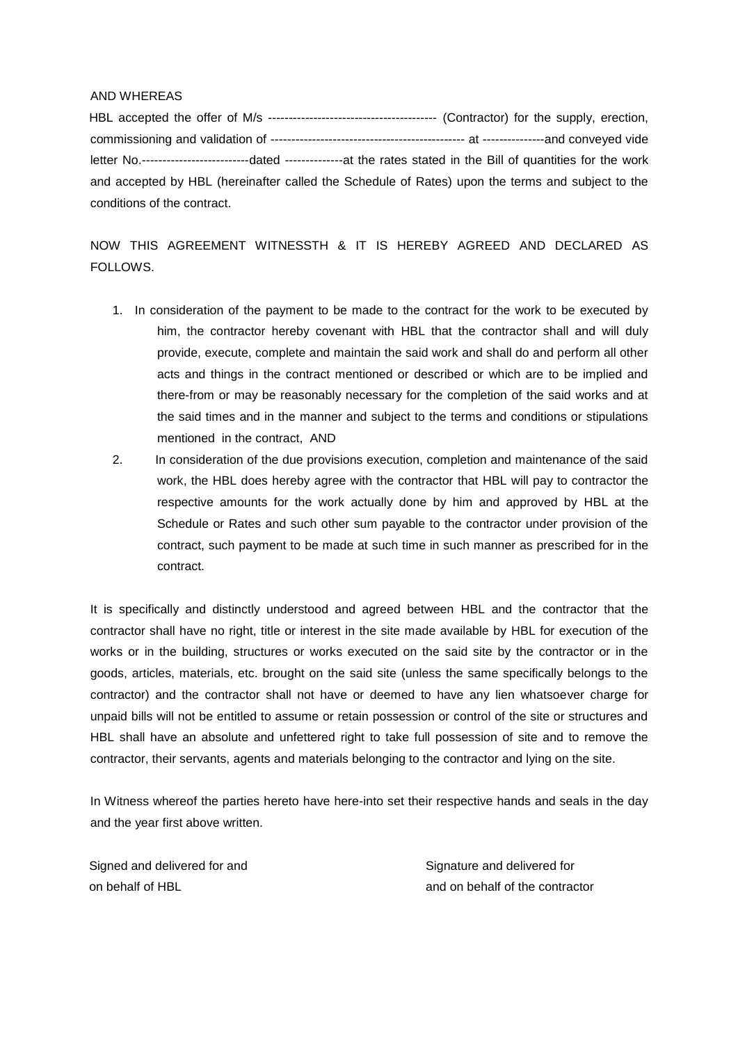## AND WHEREAS

HBL accepted the offer of M/s ----------------------------------------- (Contractor) for the supply, erection, commissioning and validation of ----------------------------------------------- at ---------------and conveyed vide letter No.--------------------------dated --------------at the rates stated in the Bill of quantities for the work and accepted by HBL (hereinafter called the Schedule of Rates) upon the terms and subject to the conditions of the contract.

NOW THIS AGREEMENT WITNESSTH & IT IS HEREBY AGREED AND DECLARED AS FOLLOWS.

- 1. In consideration of the payment to be made to the contract for the work to be executed by him, the contractor hereby covenant with HBL that the contractor shall and will duly provide, execute, complete and maintain the said work and shall do and perform all other acts and things in the contract mentioned or described or which are to be implied and there-from or may be reasonably necessary for the completion of the said works and at the said times and in the manner and subject to the terms and conditions or stipulations mentioned in the contract, AND
- 2. In consideration of the due provisions execution, completion and maintenance of the said work, the HBL does hereby agree with the contractor that HBL will pay to contractor the respective amounts for the work actually done by him and approved by HBL at the Schedule or Rates and such other sum payable to the contractor under provision of the contract, such payment to be made at such time in such manner as prescribed for in the contract.

It is specifically and distinctly understood and agreed between HBL and the contractor that the contractor shall have no right, title or interest in the site made available by HBL for execution of the works or in the building, structures or works executed on the said site by the contractor or in the goods, articles, materials, etc. brought on the said site (unless the same specifically belongs to the contractor) and the contractor shall not have or deemed to have any lien whatsoever charge for unpaid bills will not be entitled to assume or retain possession or control of the site or structures and HBL shall have an absolute and unfettered right to take full possession of site and to remove the contractor, their servants, agents and materials belonging to the contractor and lying on the site.

In Witness whereof the parties hereto have here-into set their respective hands and seals in the day and the year first above written.

Signed and delivered for and on behalf of HBL

Signature and delivered for and on behalf of the contractor